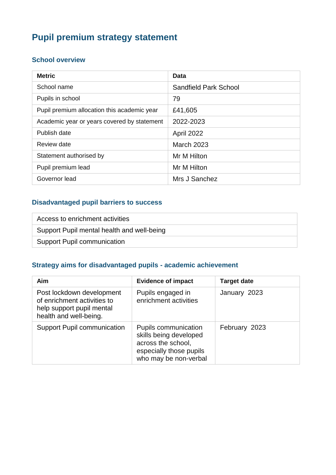# **Pupil premium strategy statement**

#### **School overview**

| <b>Metric</b>                               | Data                         |
|---------------------------------------------|------------------------------|
| School name                                 | <b>Sandfield Park School</b> |
| Pupils in school                            | 79                           |
| Pupil premium allocation this academic year | £41,605                      |
| Academic year or years covered by statement | 2022-2023                    |
| Publish date                                | April 2022                   |
| Review date                                 | <b>March 2023</b>            |
| Statement authorised by                     | Mr M Hilton                  |
| Pupil premium lead                          | Mr M Hilton                  |
| Governor lead                               | Mrs J Sanchez                |

### **Disadvantaged pupil barriers to success**

| Access to enrichment activities            |
|--------------------------------------------|
| Support Pupil mental health and well-being |
| <b>Support Pupil communication</b>         |

## **Strategy aims for disadvantaged pupils - academic achievement**

| Aim                                                                                                             | <b>Evidence of impact</b>                                                                                                | <b>Target date</b> |
|-----------------------------------------------------------------------------------------------------------------|--------------------------------------------------------------------------------------------------------------------------|--------------------|
| Post lockdown development<br>of enrichment activities to<br>help support pupil mental<br>health and well-being. | Pupils engaged in<br>enrichment activities                                                                               | January 2023       |
| <b>Support Pupil communication</b>                                                                              | Pupils communication<br>skills being developed<br>across the school,<br>especially those pupils<br>who may be non-verbal | February 2023      |